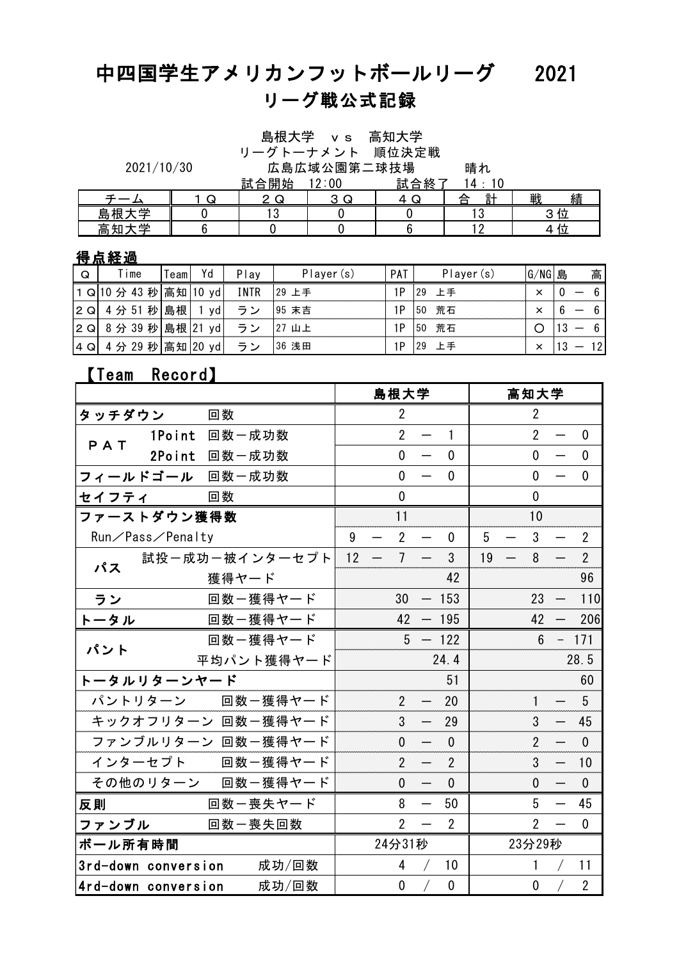# 中四国学生アメリカンフットボールリーグ 2021 晴れ<br>14・10 リーグ戦公式記録

|            |  |             | ノ ノ I ノ ノ ノ ノ I / //exl出 //人 // 七/ // |
|------------|--|-------------|---------------------------------------|
| 2021/10/30 |  | 広島広域公園第二球技場 |                                       |

|  |      | .     | - -- - -- | .      |  |
|--|------|-------|-----------|--------|--|
|  | 試合開始 | 12:00 | 試合終了      |        |  |
|  |      |       |           | 헑<br>∼ |  |

|   |                          |       |    |              |               | 島根大学 v s 高知大学   |               |                    |           |          |    |        |  |
|---|--------------------------|-------|----|--------------|---------------|-----------------|---------------|--------------------|-----------|----------|----|--------|--|
|   |                          |       |    |              |               | リーグトーナメント 順位決定戦 |               |                    |           |          |    |        |  |
|   | 2021/10/30               |       |    |              |               | 広島広域公園第二球技場     |               |                    | 晴れ        |          |    |        |  |
|   |                          |       |    | 試合開始         |               | 12:00           |               | 試合終了               | 14:10     |          |    |        |  |
|   |                          |       | Q  |              | 2 Q           | 3 Q             | 4 Q           |                    | 計<br>合    | 戦        | 績  |        |  |
|   | 島根大学                     |       |    |              | 3             |                 |               |                    | 13        |          | 3位 |        |  |
|   | 高知大学                     |       |    |              |               |                 |               |                    |           |          | 4位 |        |  |
|   | 导点経過                     |       |    |              |               |                 |               |                    |           |          |    |        |  |
| Q | Time                     | Teaml | Yd | Play         |               | Player(s)       | PAT           |                    | Player(s) | $G/NG$ 島 |    | 高      |  |
|   | $-140.11.40.71.1 + 140.$ |       |    | <b>TAITD</b> | $\sim$ $\sim$ |                 | $\sim$ $\sim$ | $\sim$ $\sim$<br>. |           |          |    | $\sim$ |  |

### 得点経過

|     | <u> 高知大学</u>             |         | 6    |             |        | 0         |      |      | 2         |           | 4位 |    |
|-----|--------------------------|---------|------|-------------|--------|-----------|------|------|-----------|-----------|----|----|
|     | <u>得点経過</u>              |         |      |             |        |           |      |      |           |           |    |    |
| Q   | Time                     | Teaml   | Yd   | Play        |        | Player(s) | PAT  |      | Player(s) | $G/NG$  島 |    | 高  |
|     | │1 Q│10 分 43 秒│高知│10 yd│ |         |      | <b>INTR</b> | 129 上手 |           | 1P   | l 29 | 上手        | $\times$  |    | 6  |
| 2 Q | 4 分 51 秒 島根              |         | 1 yd | ラン          | 95 末吉  |           | 1P   | 50   | 荒石        | $\times$  |    | 6  |
| 2 Q | 8分 39 秒 島根 21 yd         |         |      | ラン          | 127 山上 |           | 1P   | 50   | 荒石        | ∩         |    | 6  |
|     | 4 Q  4 分 29 秒 高知 20 yd   |         |      | ラン          | 36 浅田  |           | 1P   | 129  | 上手        | $\times$  |    | 12 |
|     | <b>【Team</b>             | Record) |      |             |        |           |      |      |           |           |    |    |
|     |                          |         |      |             |        |           | 自坦士学 |      |           | 宣知士学      |    |    |

|         |                     |       | $\sim$ $\sim$      |    |                          | . .            |                          |                |    |                          |                | $\overline{\phantom{0}}$ |                  |
|---------|---------------------|-------|--------------------|----|--------------------------|----------------|--------------------------|----------------|----|--------------------------|----------------|--------------------------|------------------|
|         | 【Team Record】       |       |                    |    |                          |                |                          |                |    |                          |                |                          |                  |
|         |                     |       |                    |    |                          | 島根大学           |                          |                |    |                          | 高知大学           |                          |                  |
| タッチダウン  |                     | 回数    |                    |    |                          | $\overline{2}$ |                          |                |    |                          | $\overline{2}$ |                          |                  |
| PAT     | 1Point 回数一成功数       |       |                    |    |                          | $\overline{2}$ | $\overline{\phantom{m}}$ | $\mathbf{1}$   |    |                          | $\overline{2}$ | $\overline{\phantom{0}}$ | $\mathbf 0$      |
|         | 2Point 回数一成功数       |       |                    |    |                          | $\overline{0}$ | $\overline{\phantom{0}}$ | $\mathbf{0}$   |    |                          | $\mathbf{0}$   | $\overline{\phantom{m}}$ | $\mathbf 0$      |
|         | フィールドゴール 回数一成功数     |       |                    |    |                          | 0              |                          | 0              |    |                          | $\mathbf{0}$   |                          | 0                |
| セイフティ   |                     | 回数    |                    |    |                          | 0              |                          |                |    |                          | $\mathbf 0$    |                          |                  |
|         | ファーストダウン獲得数         |       |                    |    |                          | 11             |                          |                |    |                          | 10             |                          |                  |
|         | Run/Pass/Penalty    |       |                    | 9  |                          | $\overline{2}$ |                          | 0              | 5  |                          | $\mathbf{3}$   |                          | $\overline{2}$   |
| パス      |                     |       | 試投ー成功ー被インターセプト     | 12 | $\overline{\phantom{0}}$ | $\overline{7}$ | $\overline{\phantom{m}}$ | 3              | 19 | $\overline{\phantom{m}}$ | 8              |                          | $\overline{2}$   |
|         |                     | 獲得ヤード |                    |    |                          |                |                          | 42             |    |                          |                |                          | 96               |
| ラン      |                     |       | 回数ー獲得ヤード           |    |                          | 30             |                          | $-153$         |    |                          | 23             | $-$                      | 110              |
| トータル    |                     |       | 回数ー獲得ヤード           |    |                          |                |                          | $42 - 195$     |    |                          | 42             |                          | 206              |
| パント     |                     |       | 回数ー獲得ヤード           |    |                          |                |                          | $5 - 122$      |    |                          | $6^{\circ}$    |                          | $-171$           |
|         |                     |       | 平均パント獲得ヤード         |    |                          |                |                          | 24.4           |    |                          |                |                          | 28.5             |
|         | トータルリターンヤード         |       |                    |    |                          |                |                          | 51             |    |                          |                |                          | 60               |
|         |                     |       | パントリターン 回数一獲得ヤード   |    |                          | $\overline{2}$ | $\overline{\phantom{0}}$ | 20             |    |                          | $\mathbf{1}$   |                          | 5                |
|         |                     |       | キックオフリターン 回数一獲得ヤード |    |                          | 3              |                          | 29             |    |                          | 3              |                          | 45               |
|         |                     |       | ファンブルリターン 回数一獲得ヤード |    |                          | $\mathbf 0$    |                          | $\mathbf{0}$   |    |                          | $\mathfrak{p}$ |                          | $\mathbf{0}$     |
|         |                     |       | インターセプト 回数一獲得ヤード   |    |                          | $\overline{2}$ |                          | $\overline{2}$ |    |                          | 3              |                          | 10               |
|         |                     |       | その他のリターン 回数一獲得ヤード  |    |                          | 0              | $\overline{\phantom{m}}$ | $\mathbf 0$    |    |                          | $\overline{0}$ | $\overline{\phantom{0}}$ | $\boldsymbol{0}$ |
| 反則      |                     |       | 回数一喪失ヤード           |    |                          | 8              |                          | 50             |    |                          | 5              |                          | 45               |
| ファンブル   |                     |       | 回数一喪失回数            |    |                          | $\overline{2}$ |                          | $\overline{2}$ |    |                          | $\overline{2}$ |                          | $\mathbf 0$      |
| ボール所有時間 |                     |       |                    |    |                          | 24分31秒         |                          |                |    |                          | 23分29秒         |                          |                  |
|         | 3rd-down conversion |       | 成功/回数              |    |                          | 4              |                          | 10             |    |                          | 1              |                          | 11               |
|         | 4rd-down conversion |       | 成功/回数              |    |                          | $\mathbf 0$    |                          | $\mathbf 0$    |    |                          | $\mathbf 0$    |                          | $\overline{2}$   |